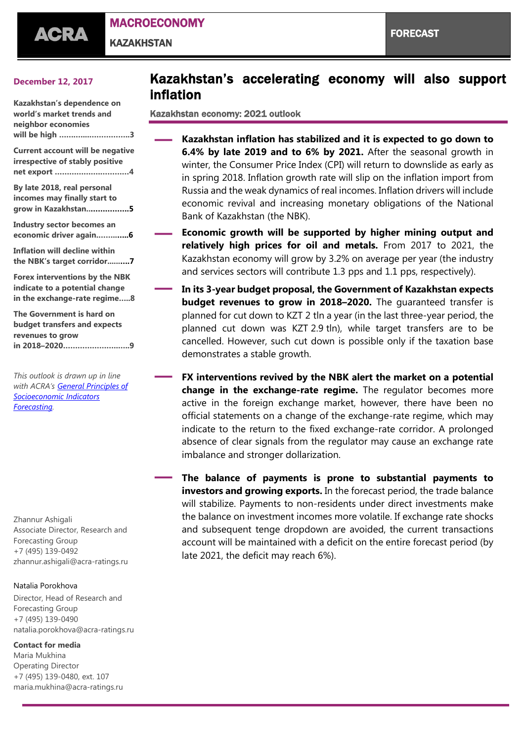

MACROECONOMY

**KAZAKHSTAN** 

### **December 12, 2017**

**Kazakhstan's dependence on world's market trends and neighbor economies will be high …….…...……………..3**

**Current account will be negative irrespective of stably positive net export ……………….…………4**

**By late 2018, real personal incomes may finally start to grow in Kazakhstan..…………….5**

**Industry sector becomes an economic driver again.……..…..6**

**Inflation will decline within the NBK's target corridor......….7**

**Forex interventions by the NBK indicate to a potential change in the exchange-rate regime…..8**

**The Government is hard on budget transfers and expects revenues to grow in 2018–2020…………………..…..9**

*This outlook is drawn up in line with ACRA's [General Principles of](https://www.acra-ratings.com/criteria/14)  [Socioeconomic Indicators](https://www.acra-ratings.com/criteria/14)  [Forecasting.](https://www.acra-ratings.com/criteria/14)*

Zhannur Ashigali Associate Director, Research and Forecasting Group +7 (495) 139-0492 [zhannur.ashigali@acra-ratings.ru](mailto:zhannur.ashigali@acra-ratings.ru)

#### Natalia Porokhova

Director, Head of Research and Forecasting Group +7 (495) 139-0490 [natalia.porokhova@acra-ratings.ru](mailto:natalia.porokhova@acra-ratings.ru)

#### **Contact for media**

Maria Mukhina Operating Director +7 (495) 139-0480, ext. 107 [maria.mukhina@acra-ratings.ru](mailto:maria.mukhina@acra-ratings.ru)

# Kazakhstan's accelerating economy will also support inflation

Kazakhstan economy: 2021 outlook

- **— Kazakhstan inflation has stabilized and it is expected to go down to 6.4% by late 2019 and to 6% by 2021.** After the seasonal growth in winter, the Consumer Price Index (CPI) will return to downslide as early as in spring 2018. Inflation growth rate will slip on the inflation import from Russia and the weak dynamics of real incomes. Inflation drivers will include economic revival and increasing monetary obligations of the National Bank of Kazakhstan (the NBK).
- **— Economic growth will be supported by higher mining output and relatively high prices for oil and metals.** From 2017 to 2021, the Kazakhstan economy will grow by 3.2% on average per year (the industry and services sectors will contribute 1.3 pps and 1.1 pps, respectively).
- **— In its 3-year budget proposal, the Government of Kazakhstan expects budget revenues to grow in 2018–2020.** The guaranteed transfer is planned for cut down to KZT 2 tln a year (in the last three-year period, the planned cut down was KZT 2.9 tln), while target transfers are to be cancelled. However, such cut down is possible only if the taxation base demonstrates a stable growth.
- **— FX interventions revived by the NBK alert the market on <sup>a</sup> potential change in the exchange-rate regime.** The regulator becomes more active in the foreign exchange market, however, there have been no official statements on a change of the exchange-rate regime, which may indicate to the return to the fixed exchange-rate corridor. A prolonged absence of clear signals from the regulator may cause an exchange rate imbalance and stronger dollarization.

**— The balance of payments is prone to substantial payments to investors and growing exports.** In the forecast period, the trade balance will stabilize. Payments to non-residents under direct investments make the balance on investment incomes more volatile. If exchange rate shocks and subsequent tenge dropdown are avoided, the current transactions account will be maintained with a deficit on the entire forecast period (by late 2021, the deficit may reach 6%).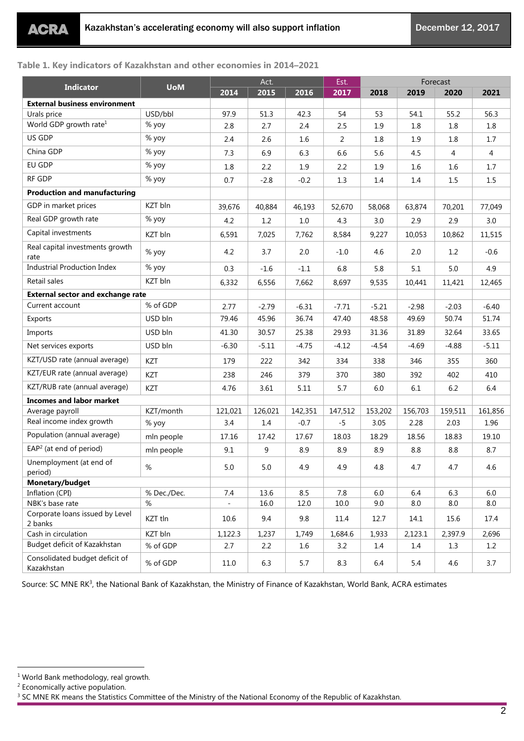## **Table 1. Key indicators of Kazakhstan and other economies in 2014–2021**

| <b>Indicator</b>                             | <b>UoM</b>  | Act.    |         |         | Est.    | Forecast |         |         |         |
|----------------------------------------------|-------------|---------|---------|---------|---------|----------|---------|---------|---------|
|                                              |             | 2014    | 2015    | 2016    | 2017    | 2018     | 2019    | 2020    | 2021    |
| <b>External business environment</b>         |             |         |         |         |         |          |         |         |         |
| Urals price                                  | USD/bbl     | 97.9    | 51.3    | 42.3    | 54      | 53       | 54.1    | 55.2    | 56.3    |
| World GDP growth rate <sup>1</sup>           | % yoy       | 2.8     | 2.7     | 2.4     | 2.5     | 1.9      | $1.8\,$ | $1.8\,$ | $1.8\,$ |
| US GDP                                       | % yoy       | 2.4     | 2.6     | 1.6     | 2       | 1.8      | 1.9     | 1.8     | 1.7     |
| China GDP                                    | % yoy       | 7.3     | 6.9     | 6.3     | 6.6     | 5.6      | 4.5     | 4       | 4       |
| EU GDP                                       | % yoy       | 1.8     | 2.2     | 1.9     | 2.2     | 1.9      | 1.6     | 1.6     | 1.7     |
| RF GDP                                       | % yoy       | 0.7     | $-2.8$  | $-0.2$  | 1.3     | 1.4      | 1.4     | 1.5     | 1.5     |
| <b>Production and manufacturing</b>          |             |         |         |         |         |          |         |         |         |
| GDP in market prices                         | KZT bln     | 39,676  | 40,884  | 46,193  | 52,670  | 58,068   | 63,874  | 70,201  | 77,049  |
| Real GDP growth rate                         | % yoy       | 4.2     | 1.2     | $1.0\,$ | 4.3     | 3.0      | 2.9     | 2.9     | 3.0     |
| Capital investments                          | KZT bln     | 6,591   | 7,025   | 7,762   | 8,584   | 9,227    | 10,053  | 10,862  | 11,515  |
| Real capital investments growth<br>rate      | % yoy       | 4.2     | 3.7     | 2.0     | $-1.0$  | 4.6      | 2.0     | 1.2     | $-0.6$  |
| <b>Industrial Production Index</b>           | % yoy       | 0.3     | $-1.6$  | $-1.1$  | 6.8     | 5.8      | 5.1     | 5.0     | 4.9     |
| Retail sales                                 | KZT bln     | 6,332   | 6,556   | 7,662   | 8,697   | 9,535    | 10,441  | 11,421  | 12,465  |
| <b>External sector and exchange rate</b>     |             |         |         |         |         |          |         |         |         |
| Current account                              | % of GDP    | 2.77    | $-2.79$ | $-6.31$ | $-7.71$ | $-5.21$  | $-2.98$ | $-2.03$ | $-6.40$ |
| Exports                                      | USD bln     | 79.46   | 45.96   | 36.74   | 47.40   | 48.58    | 49.69   | 50.74   | 51.74   |
| Imports                                      | USD bln     | 41.30   | 30.57   | 25.38   | 29.93   | 31.36    | 31.89   | 32.64   | 33.65   |
| Net services exports                         | USD bln     | $-6.30$ | $-5.11$ | $-4.75$ | $-4.12$ | $-4.54$  | $-4.69$ | $-4.88$ | $-5.11$ |
| KZT/USD rate (annual average)                | KZT         | 179     | 222     | 342     | 334     | 338      | 346     | 355     | 360     |
| KZT/EUR rate (annual average)                | KZT         | 238     | 246     | 379     | 370     | 380      | 392     | 402     | 410     |
| KZT/RUB rate (annual average)                | KZT         | 4.76    | 3.61    | 5.11    | 5.7     | 6.0      | 6.1     | 6.2     | 6.4     |
| <b>Incomes and labor market</b>              |             |         |         |         |         |          |         |         |         |
| Average payroll                              | KZT/month   | 121,021 | 126,021 | 142,351 | 147,512 | 153,202  | 156,703 | 159,511 | 161,856 |
| Real income index growth                     | % yoy       | 3.4     | 1.4     | $-0.7$  | $-5$    | 3.05     | 2.28    | 2.03    | 1.96    |
| Population (annual average)                  | mln people  | 17.16   | 17.42   | 17.67   | 18.03   | 18.29    | 18.56   | 18.83   | 19.10   |
| $EAP2$ (at end of period)                    | mln people  | 9.1     | 9       | 8.9     | 8.9     | 8.9      | 8.8     | 8.8     | 8.7     |
| Unemployment (at end of<br>period)           | $\%$        | 5.0     | $5.0\,$ | 4.9     | 4.9     | 4.8      | 4.7     | 4.7     | 4.6     |
| Monetary/budget                              |             |         |         |         |         |          |         |         |         |
| Inflation (CPI)                              | % Dec./Dec. | 7.4     | 13.6    | 8.5     | 7.8     | 6.0      | 6.4     | 6.3     | 6.0     |
| NBK's base rate                              | $\%$        |         | 16.0    | 12.0    | 10.0    | 9.0      | 8.0     | 8.0     | 8.0     |
| Corporate loans issued by Level<br>2 banks   | KZT tln     | 10.6    | 9.4     | 9.8     | 11.4    | 12.7     | 14.1    | 15.6    | 17.4    |
| Cash in circulation                          | KZT bln     | 1,122.3 | 1,237   | 1,749   | 1,684.6 | 1,933    | 2,123.1 | 2,397.9 | 2,696   |
| Budget deficit of Kazakhstan                 | % of GDP    | 2.7     | 2.2     | 1.6     | 3.2     | 1.4      | 1.4     | 1.3     | 1.2     |
| Consolidated budget deficit of<br>Kazakhstan | % of GDP    | 11.0    | 6.3     | 5.7     | 8.3     | 6.4      | 5.4     | 4.6     | 3.7     |

Source: SC MNE RK<sup>3</sup> , the National Bank of Kazakhstan, the Ministry of Finance of Kazakhstan, World Bank, ACRA estimates

<sup>1</sup> World Bank methodology, real growth.

<sup>2</sup> Economically active population.

<sup>&</sup>lt;sup>3</sup> SC MNE RK means the Statistics Committee of the Ministry of the National Economy of the Republic of Kazakhstan.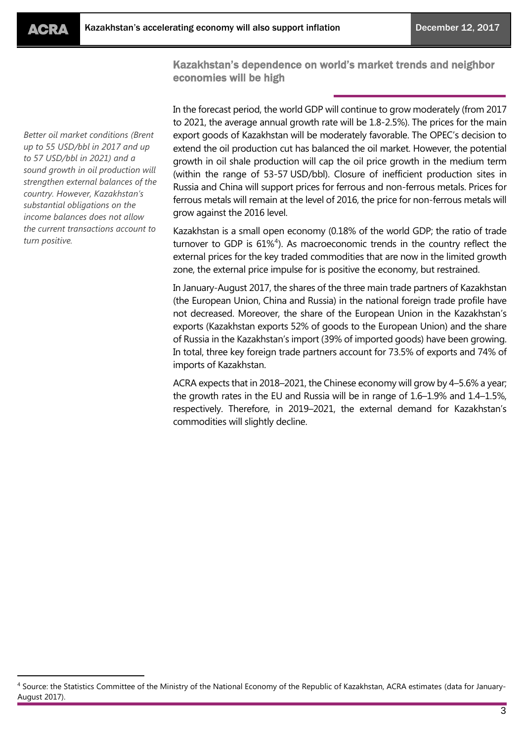$\overline{a}$ 

Kazakhstan's dependence on world's market trends and neighbor economies will be high

*Better oil market conditions (Brent up to 55 USD/bbl in 2017 and up to 57 USD/bbl in 2021) and a sound growth in oil production will strengthen external balances of the country. However, Kazakhstan's substantial obligations on the income balances does not allow the current transactions account to turn positive.*

In the forecast period, the world GDP will continue to grow moderately (from 2017 to 2021, the average annual growth rate will be 1.8-2.5%). The prices for the main export goods of Kazakhstan will be moderately favorable. The OPEC's decision to extend the oil production cut has balanced the oil market. However, the potential growth in oil shale production will cap the oil price growth in the medium term (within the range of 53-57 USD/bbl). Closure of inefficient production sites in Russia and China will support prices for ferrous and non-ferrous metals. Prices for ferrous metals will remain at the level of 2016, the price for non-ferrous metals will grow against the 2016 level.

Kazakhstan is a small open economy (0.18% of the world GDP; the ratio of trade turnover to GDP is 61% 4 ). As macroeconomic trends in the country reflect the external prices for the key traded commodities that are now in the limited growth zone, the external price impulse for is positive the economy, but restrained.

In January-August 2017, the shares of the three main trade partners of Kazakhstan (the European Union, China and Russia) in the national foreign trade profile have not decreased. Moreover, the share of the European Union in the Kazakhstan's exports (Kazakhstan exports 52% of goods to the European Union) and the share of Russia in the Kazakhstan's import (39% of imported goods) have been growing. In total, three key foreign trade partners account for 73.5% of exports and 74% of imports of Kazakhstan.

ACRA expects that in 2018–2021, the Chinese economy will grow by 4–5.6% a year; the growth rates in the EU and Russia will be in range of 1.6–1.9% and 1.4–1.5%, respectively. Therefore, in 2019–2021, the external demand for Kazakhstan's commodities will slightly decline.

<sup>4</sup> Source: the Statistics Committee of the Ministry of the National Economy of the Republic of Kazakhstan, ACRA estimates (data for January-August 2017).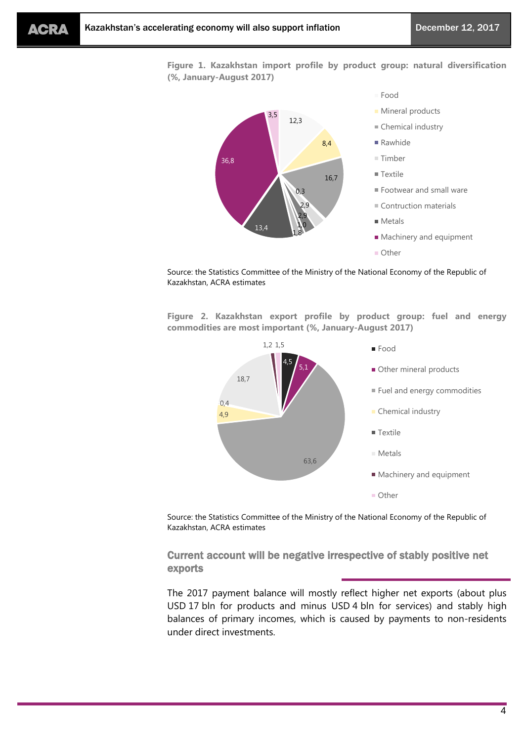**Figure 1. Kazakhstan import profile by product group: natural diversification (%, January-August 2017)**



**Mineral products** ■ Chemical industry ■ Rawhide Timber  $\blacksquare$  Textile Footwear and small ware Contruction materials **Metals Machinery and equipment** ■ Other

Source: the Statistics Committee of the Ministry of the National Economy of the Republic of Kazakhstan, ACRA estimates

**Figure 2. Kazakhstan export profile by product group: fuel and energy commodities are most important (%, January-August 2017)**



Source: the Statistics Committee of the Ministry of the National Economy of the Republic of Kazakhstan, ACRA estimates

Current account will be negative irrespective of stably positive net exports

The 2017 payment balance will mostly reflect higher net exports (about plus USD 17 bln for products and minus USD 4 bln for services) and stably high balances of primary incomes, which is caused by payments to non-residents under direct investments.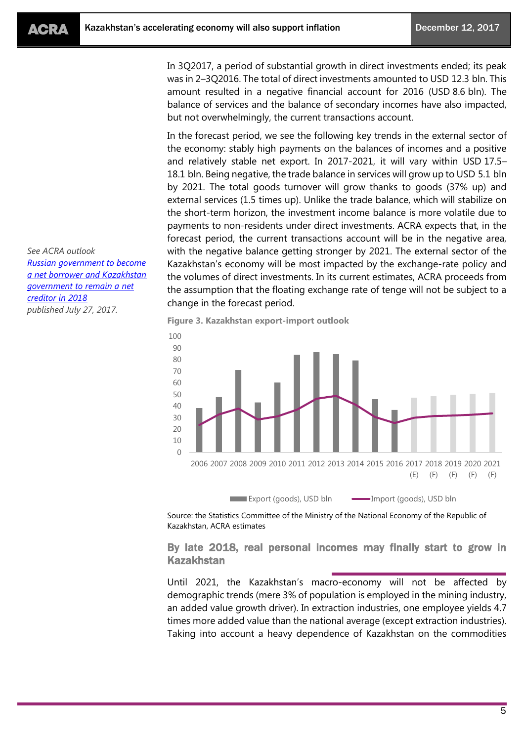In 3Q2017, a period of substantial growth in direct investments ended; its peak was in 2–3Q2016. The total of direct investments amounted to USD 12.3 bln. This amount resulted in a negative financial account for 2016 (USD 8.6 bln). The balance of services and the balance of secondary incomes have also impacted, but not overwhelmingly, the current transactions account.

In the forecast period, we see the following key trends in the external sector of the economy: stably high payments on the balances of incomes and a positive and relatively stable net export. In 2017-2021, it will vary within USD 17.5– 18.1 bln. Being negative, the trade balance in services will grow up to USD 5.1 bln by 2021. The total goods turnover will grow thanks to goods (37% up) and external services (1.5 times up). Unlike the trade balance, which will stabilize on the short-term horizon, the investment income balance is more volatile due to payments to non-residents under direct investments. ACRA expects that, in the forecast period, the current transactions account will be in the negative area, with the negative balance getting stronger by 2021. The external sector of the Kazakhstan's economy will be most impacted by the exchange-rate policy and the volumes of direct investments. In its current estimates, ACRA proceeds from the assumption that the floating exchange rate of tenge will not be subject to a change in the forecast period.

**Figure 3. Kazakhstan export-import outlook**



Source: the Statistics Committee of the Ministry of the National Economy of the Republic of Kazakhstan, ACRA estimates

By late 2018, real personal incomes may finally start to grow in Kazakhstan

Until 2021, the Kazakhstan's macro-economy will not be affected by demographic trends (mere 3% of population is employed in the mining industry, an added value growth driver). In extraction industries, one employee yields 4.7 times more added value than the national average (except extraction industries). Taking into account a heavy dependence of Kazakhstan on the commodities

*See ACRA outlook [Russian government to become](https://acra-ratings.com/research/302)  [a net borrower and Kazakhstan](https://acra-ratings.com/research/302)  [government to remain a net](https://acra-ratings.com/research/302)  [creditor in 2018](https://acra-ratings.com/research/302) published July 27, 2017.*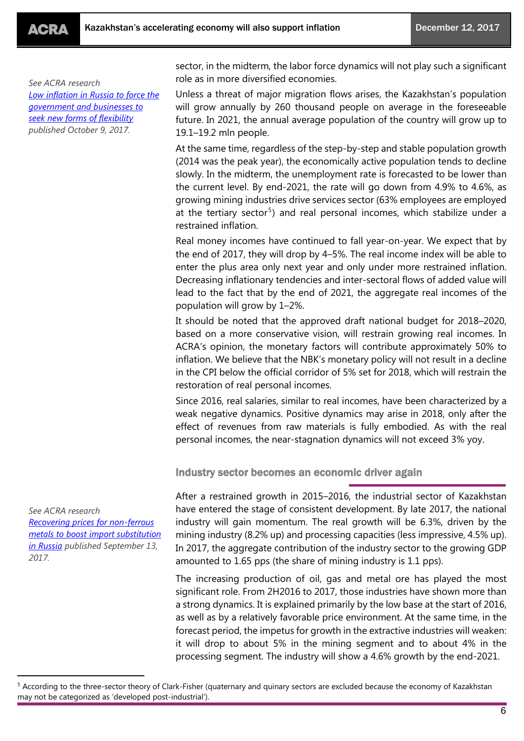*See ACRA research [Low inflation in Russia to force the](https://www.acra-ratings.com/research/395)  [government and businesses to](https://www.acra-ratings.com/research/395)  [seek new forms of flexibility](https://www.acra-ratings.com/research/395) published October 9, 2017.*

sector, in the midterm, the labor force dynamics will not play such a significant role as in more diversified economies.

Unless a threat of major migration flows arises, the Kazakhstan's population will grow annually by 260 thousand people on average in the foreseeable future. In 2021, the annual average population of the country will grow up to 19.1–19.2 mln people.

At the same time, regardless of the step-by-step and stable population growth (2014 was the peak year), the economically active population tends to decline slowly. In the midterm, the unemployment rate is forecasted to be lower than the current level. By end-2021, the rate will go down from 4.9% to 4.6%, as growing mining industries drive services sector (63% employees are employed at the tertiary sector<sup>5</sup>) and real personal incomes, which stabilize under a restrained inflation.

Real money incomes have continued to fall year-on-year. We expect that by the end of 2017, they will drop by 4–5%. The real income index will be able to enter the plus area only next year and only under more restrained inflation. Decreasing inflationary tendencies and inter-sectoral flows of added value will lead to the fact that by the end of 2021, the aggregate real incomes of the population will grow by 1–2%.

It should be noted that the approved draft national budget for 2018–2020, based on a more conservative vision, will restrain growing real incomes. In ACRA's opinion, the monetary factors will contribute approximately 50% to inflation. We believe that the NBK's monetary policy will not result in a decline in the CPI below the official corridor of 5% set for 2018, which will restrain the restoration of real personal incomes.

Since 2016, real salaries, similar to real incomes, have been characterized by a weak negative dynamics. Positive dynamics may arise in 2018, only after the effect of revenues from raw materials is fully embodied. As with the real personal incomes, the near-stagnation dynamics will not exceed 3% yoy.

Industry sector becomes an economic driver again

After a restrained growth in 2015–2016, the industrial sector of Kazakhstan have entered the stage of consistent development. By late 2017, the national industry will gain momentum. The real growth will be 6.3%, driven by the mining industry (8.2% up) and processing capacities (less impressive, 4.5% up). In 2017, the aggregate contribution of the industry sector to the growing GDP amounted to 1.65 pps (the share of mining industry is 1.1 pps).

The increasing production of oil, gas and metal ore has played the most significant role. From 2H2016 to 2017, those industries have shown more than a strong dynamics. It is explained primarily by the low base at the start of 2016, as well as by a relatively favorable price environment. At the same time, in the forecast period, the impetus for growth in the extractive industries will weaken: it will drop to about 5% in the mining segment and to about 4% in the processing segment. The industry will show a 4.6% growth by the end-2021.

*See ACRA research [Recovering prices for non-ferrous](https://www.acra-ratings.com/research/353)  [metals to boost import substitution](https://www.acra-ratings.com/research/353)  [in Russia](https://www.acra-ratings.com/research/353) published September 13, 2017.*

<sup>&</sup>lt;sup>5</sup> According to the three-sector theory of Clark-Fisher (quaternary and quinary sectors are excluded because the economy of Kazakhstan may not be categorized as 'developed post-industrial').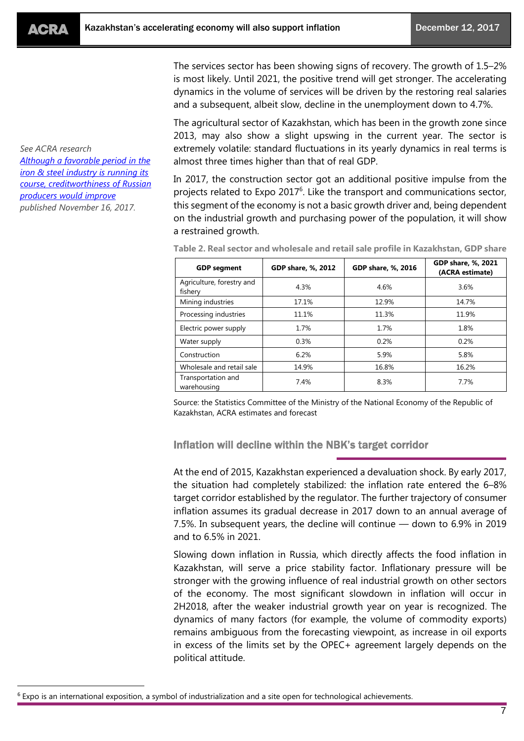*See ACRA research*

*[producers would improve](https://www.acra-ratings.com/research/461) published November 16, 2017.*

*Although [a favorable period in the](https://www.acra-ratings.com/research/461)  [iron & steel industry is running its](https://www.acra-ratings.com/research/461)  [course, creditworthiness of Russian](https://www.acra-ratings.com/research/461)* 

 $\overline{a}$ 

The services sector has been showing signs of recovery. The growth of 1.5–2% is most likely. Until 2021, the positive trend will get stronger. The accelerating dynamics in the volume of services will be driven by the restoring real salaries and a subsequent, albeit slow, decline in the unemployment down to 4.7%.

The agricultural sector of Kazakhstan, which has been in the growth zone since 2013, may also show a slight upswing in the current year. The sector is extremely volatile: standard fluctuations in its yearly dynamics in real terms is almost three times higher than that of real GDP.

In 2017, the construction sector got an additional positive impulse from the projects related to Expo 2017 $<sup>6</sup>$ . Like the transport and communications sector,</sup> this segment of the economy is not a basic growth driver and, being dependent on the industrial growth and purchasing power of the population, it will show a restrained growth.

| <b>GDP</b> segment                   | GDP share, %, 2012 | GDP share, %, 2016 | GDP share, %, 2021<br>(ACRA estimate) |
|--------------------------------------|--------------------|--------------------|---------------------------------------|
| Agriculture, forestry and<br>fishery | 4.3%               | 4.6%               | 3.6%                                  |
| Mining industries                    | 17.1%              | 12.9%              | 14.7%                                 |
| Processing industries                | 11.1%              | 11.3%              | 11.9%                                 |
| Electric power supply                | 1.7%               | 1.7%               | 1.8%                                  |
| Water supply                         | 0.3%               | 0.2%               | 0.2%                                  |
| Construction                         | 6.2%               | 5.9%               | 5.8%                                  |
| Wholesale and retail sale            | 14.9%              | 16.8%              | 16.2%                                 |
| Transportation and<br>warehousing    | 7.4%               | 8.3%               | 7.7%                                  |

**Table 2. Real sector and wholesale and retail sale profile in Kazakhstan, GDP share**

Source: the Statistics Committee of the Ministry of the National Economy of the Republic of Kazakhstan, ACRA estimates and forecast

Inflation will decline within the NBK's target corridor

At the end of 2015, Kazakhstan experienced a devaluation shock. By early 2017, the situation had completely stabilized: the inflation rate entered the 6–8% target corridor established by the regulator. The further trajectory of consumer inflation assumes its gradual decrease in 2017 down to an annual average of 7.5%. In subsequent years, the decline will continue — down to 6.9% in 2019 and to 6.5% in 2021.

Slowing down inflation in Russia, which directly affects the food inflation in Kazakhstan, will serve a price stability factor. Inflationary pressure will be stronger with the growing influence of real industrial growth on other sectors of the economy. The most significant slowdown in inflation will occur in 2H2018, after the weaker industrial growth year on year is recognized. The dynamics of many factors (for example, the volume of commodity exports) remains ambiguous from the forecasting viewpoint, as increase in oil exports in excess of the limits set by the OPEC+ agreement largely depends on the political attitude.

<sup>&</sup>lt;sup>6</sup> Expo is an international exposition, a symbol of industrialization and a site open for technological achievements.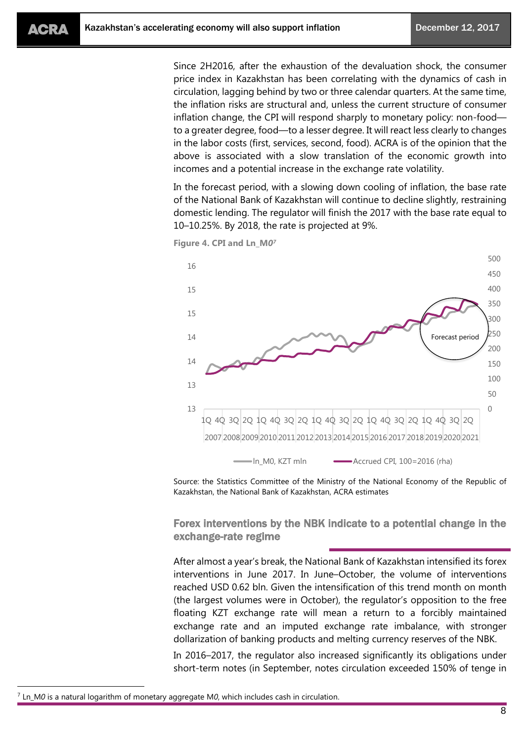Since 2H2016, after the exhaustion of the devaluation shock, the consumer price index in Kazakhstan has been correlating with the dynamics of cash in circulation, lagging behind by two or three calendar quarters. At the same time, the inflation risks are structural and, unless the current structure of consumer inflation change, the CPI will respond sharply to monetary policy: non-food to a greater degree, food—to a lesser degree. It will react less clearly to changes in the labor costs (first, services, second, food). ACRA is of the opinion that the above is associated with a slow translation of the economic growth into incomes and a potential increase in the exchange rate volatility.

In the forecast period, with a slowing down cooling of inflation, the base rate of the National Bank of Kazakhstan will continue to decline slightly, restraining domestic lending. The regulator will finish the 2017 with the base rate equal to 10–10.25%. By 2018, the rate is projected at 9%.

**Figure 4. CPI and Ln\_М***0 7*



Source: the Statistics Committee of the Ministry of the National Economy of the Republic of Kazakhstan, the National Bank of Kazakhstan, ACRA estimates

Forex interventions by the NBK indicate to a potential change in the exchange-rate regime

After almost a year's break, the National Bank of Kazakhstan intensified its forex interventions in June 2017. In June–October, the volume of interventions reached USD 0.62 bln. Given the intensification of this trend month on month (the largest volumes were in October), the regulator's opposition to the free floating KZT exchange rate will mean a return to a forcibly maintained exchange rate and an imputed exchange rate imbalance, with stronger dollarization of banking products and melting currency reserves of the NBK.

In 2016–2017, the regulator also increased significantly its obligations under short-term notes (in September, notes circulation exceeded 150% of tenge in

<sup>7</sup> Ln\_М*0* is a natural logarithm of monetary aggregate М*0*, which includes cash in circulation.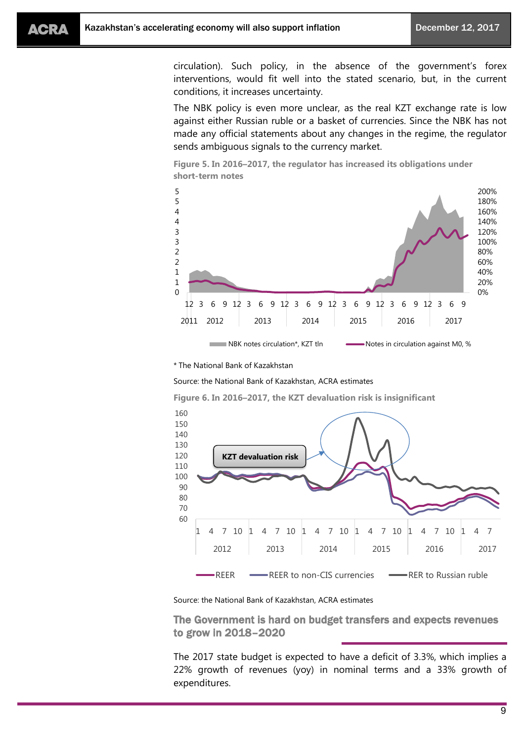circulation). Such policy, in the absence of the government's forex interventions, would fit well into the stated scenario, but, in the current conditions, it increases uncertainty.

The NBK policy is even more unclear, as the real KZT exchange rate is low against either Russian ruble or a basket of currencies. Since the NBK has not made any official statements about any changes in the regime, the regulator sends ambiguous signals to the currency market.





\* The National Bank of Kazakhstan

Source: the National Bank of Kazakhstan, ACRA estimates

**Figure 6. In 2016–2017, the KZT devaluation risk is insignificant**



Source: the National Bank of Kazakhstan, ACRA estimates

The Government is hard on budget transfers and expects revenues to grow in 2018–2020

The 2017 state budget is expected to have a deficit of 3.3%, which implies a 22% growth of revenues (yoy) in nominal terms and a 33% growth of expenditures.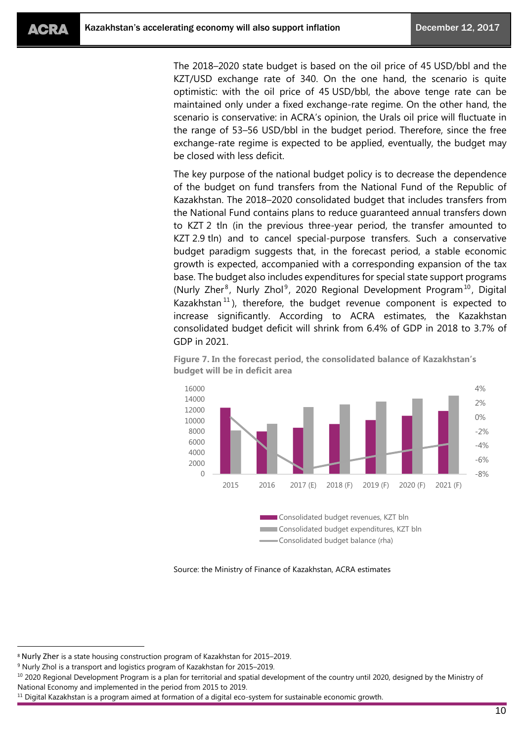The 2018–2020 state budget is based on the oil price of 45 USD/bbl and the KZT/USD exchange rate of 340. On the one hand, the scenario is quite optimistic: with the oil price of 45 USD/bbl, the above tenge rate can be maintained only under a fixed exchange-rate regime. On the other hand, the scenario is conservative: in ACRA's opinion, the Urals oil price will fluctuate in the range of 53–56 USD/bbl in the budget period. Therefore, since the free exchange-rate regime is expected to be applied, eventually, the budget may be closed with less deficit.

The key purpose of the national budget policy is to decrease the dependence of the budget on fund transfers from the National Fund of the Republic of Kazakhstan. The 2018–2020 consolidated budget that includes transfers from the National Fund contains plans to reduce guaranteed annual transfers down to KZT 2 tln (in the previous three-year period, the transfer amounted to KZT 2.9 tln) and to cancel special-purpose transfers. Such a conservative budget paradigm suggests that, in the forecast period, a stable economic growth is expected, accompanied with a corresponding expansion of the tax base. The budget also includes expenditures for special state support programs (Nurly Zher<sup>8</sup>, Nurly Zhol<sup>9</sup>, 2020 Regional Development Program<sup>10</sup>, Digital Kazakhstan<sup>11</sup>), therefore, the budget revenue component is expected to increase significantly. According to ACRA estimates, the Kazakhstan consolidated budget deficit will shrink from 6.4% of GDP in 2018 to 3.7% of GDP in 2021.



**Figure 7. In the forecast period, the consolidated balance of Kazakhstan's budget will be in deficit area**

Source: the Ministry of Finance of Kazakhstan, ACRA estimates

<sup>8</sup> Nurly Zher is a state housing construction program of Kazakhstan for 2015–2019.

<sup>9</sup> Nurly Zhol is a transport and logistics program of Kazakhstan for 2015–2019.

<sup>&</sup>lt;sup>10</sup> 2020 Regional Development Program is a plan for territorial and spatial development of the country until 2020, designed by the Ministry of National Economy and implemented in the period from 2015 to 2019.

 $11$  Digital Kazakhstan is a program aimed at formation of a digital eco-system for sustainable economic growth.